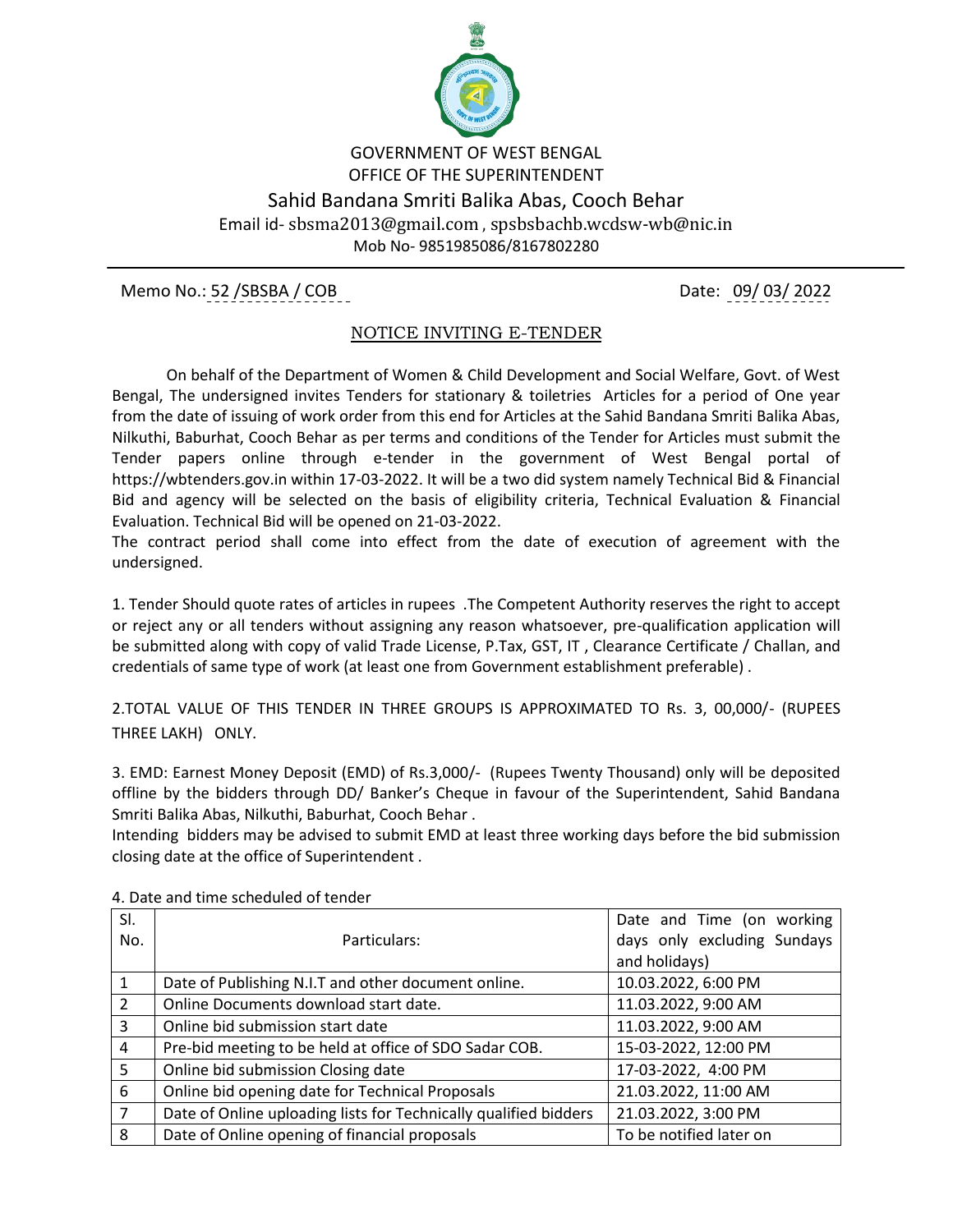

## GOVERNMENT OF WEST BENGAL OFFICE OF THE SUPERINTENDENT Sahid Bandana Smriti Balika Abas, Cooch Behar Email id- sbsma2013@gmail.com , spsbsbachb.wcdsw-wb@nic.in Mob No- 9851985086/8167802280

Memo No.: 52 /SBSBA / COB Date: 09/ 03/ 2022

## NOTICE INVITING E-TENDER

 On behalf of the Department of Women & Child Development and Social Welfare, Govt. of West Bengal, The undersigned invites Tenders for stationary & toiletries Articles for a period of One year from the date of issuing of work order from this end for Articles at the Sahid Bandana Smriti Balika Abas, Nilkuthi, Baburhat, Cooch Behar as per terms and conditions of the Tender for Articles must submit the Tender papers online through e-tender in the government of West Bengal portal of https://wbtenders.gov.in within 17-03-2022. It will be a two did system namely Technical Bid & Financial Bid and agency will be selected on the basis of eligibility criteria, Technical Evaluation & Financial Evaluation. Technical Bid will be opened on 21-03-2022.

The contract period shall come into effect from the date of execution of agreement with the undersigned.

1. Tender Should quote rates of articles in rupees .The Competent Authority reserves the right to accept or reject any or all tenders without assigning any reason whatsoever, pre-qualification application will be submitted along with copy of valid Trade License, P.Tax, GST, IT , Clearance Certificate / Challan, and credentials of same type of work (at least one from Government establishment preferable) .

2.TOTAL VALUE OF THIS TENDER IN THREE GROUPS IS APPROXIMATED TO Rs. 3, 00,000/- (RUPEES THREE LAKH) ONLY.

3. EMD: Earnest Money Deposit (EMD) of Rs.3,000/- (Rupees Twenty Thousand) only will be deposited offline by the bidders through DD/ Banker's Cheque in favour of the Superintendent, Sahid Bandana Smriti Balika Abas, Nilkuthi, Baburhat, Cooch Behar .

Intending bidders may be advised to submit EMD at least three working days before the bid submission closing date at the office of Superintendent .

| SI.            |                                                                  | Date and Time (on working   |
|----------------|------------------------------------------------------------------|-----------------------------|
| No.            | Particulars:                                                     | days only excluding Sundays |
|                |                                                                  | and holidays)               |
| 1              | Date of Publishing N.I.T and other document online.              | 10.03.2022, 6:00 PM         |
| 2              | Online Documents download start date.                            | 11.03.2022, 9:00 AM         |
| 3              | Online bid submission start date                                 | 11.03.2022, 9:00 AM         |
| $\overline{4}$ | Pre-bid meeting to be held at office of SDO Sadar COB.           | 15-03-2022, 12:00 PM        |
| 5              | Online bid submission Closing date                               | 17-03-2022, 4:00 PM         |
| 6              | Online bid opening date for Technical Proposals                  | 21.03.2022, 11:00 AM        |
| $\overline{7}$ | Date of Online uploading lists for Technically qualified bidders | 21.03.2022, 3:00 PM         |
| 8              | Date of Online opening of financial proposals                    | To be notified later on     |

4. Date and time scheduled of tender